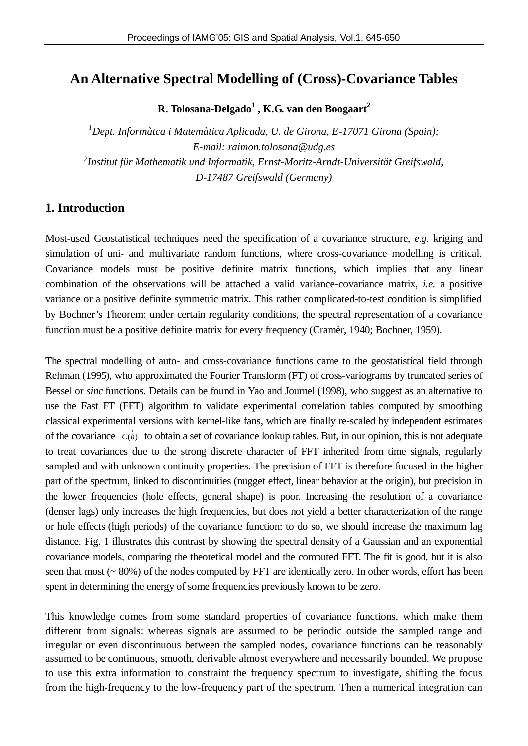# **An Alternative Spectral Modelling of (Cross)-Covariance Tables**

**R. Tolosana-Delgado<sup>1</sup> , K.G. van den Boogaart<sup>2</sup>**

*<sup>1</sup>Dept. Informàtca i Matemàtica Aplicada, U. de Girona, E-17071 Girona (Spain); E-mail: [raimon.tolosana@udg.es](mailto:raimon.tolosana@udg.es) 2 Institut für Mathematik und Informatik, Ernst-Moritz-Arndt-Universität Greifswald, D-17487 Greifswald (Germany)*

## **1. Introduction**

Most-used Geostatistical techniques need the specification of a covariance structure, *e.g.* kriging and simulation of uni- and multivariate random functions, where cross-covariance modelling is critical. Covariance models must be positive definite matrix functions, which implies that any linear combination of the observations will be attached a valid variance-covariance matrix, *i.e.* a positive variance or a positive definite symmetric matrix. This rather complicated-to-test condition is simplified by Bochner's Theorem: under certain regularity conditions, the spectral representation of a covariance function must be a positive definite matrix for every frequency (Cramèr, 1940; Bochner, 1959).

The spectral modelling of auto- and cross-covariance functions came to the geostatistical field through Rehman (1995), who approximated the Fourier Transform (FT) of cross-variograms by truncated series of Bessel or *sinc* functions. Details can be found in Yao and Journel (1998), who suggest as an alternative to use the Fast FT (FFT) algorithm to validate experimental correlation tables computed by smoothing classical experimental versions with kernel-like fans, which are finally re-scaled by independent estimates of the covariance  $C(\ddot{h})$  to obtain a set of covariance lookup tables. But, in our opinion, this is not adequate to treat covariances due to the strong discrete character of FFT inherited from time signals, regularly sampled and with unknown continuity properties. The precision of FFT is therefore focused in the higher part of the spectrum, linked to discontinuities (nugget effect, linear behavior at the origin), but precision in the lower frequencies (hole effects, general shape) is poor. Increasing the resolution of a covariance (denser lags) only increases the high frequencies, but does not yield a better characterization of the range or hole effects (high periods) of the covariance function: to do so, we should increase the maximum lag distance. Fig. 1 illustrates this contrast by showing the spectral density of a Gaussian and an exponential covariance models, comparing the theoretical model and the computed FFT. The fit is good, but it is also seen that most (~ 80%) of the nodes computed by FFT are identically zero. In other words, effort has been spent in determining the energy of some frequencies previously known to be zero.

This knowledge comes from some standard properties of covariance functions, which make them different from signals: whereas signals are assumed to be periodic outside the sampled range and irregular or even discontinuous between the sampled nodes, covariance functions can be reasonably assumed to be continuous, smooth, derivable almost everywhere and necessarily bounded. We propose to use this extra information to constraint the frequency spectrum to investigate, shifting the focus from the high-frequency to the low-frequency part of the spectrum. Then a numerical integration can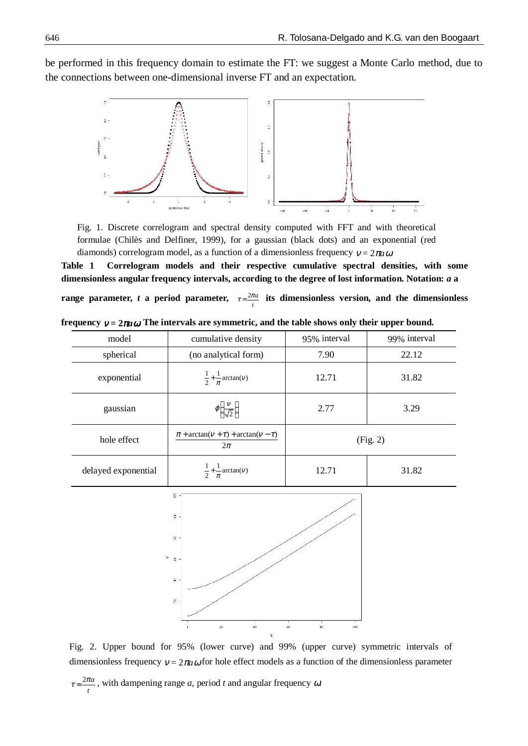be performed in this frequency domain to estimate the FT: we suggest a Monte Carlo method, due to the connections between one-dimensional inverse FT and an expectation.



Fig. 1. Discrete correlogram and spectral density computed with FFT and with theoretical formulae (Chilès and Delfiner, 1999), for a gaussian (black dots) and an exponential (red diamonds) correlogram model, as a function of a dimensionless frequency  $v = 2\pi a \omega$ .

**Table 1 Correlogram models and their respective cumulative spectral densities, with some dimensionless angular frequency intervals, according to the degree of lost information. Notation:** *a* **a**

**range parameter,** *t* **a** period parameter,  $\tau = \frac{2\pi a}{t}$  its dimensionless version, and the dimensionless

| model               | cumulative density                                                                                                   | 95% interval                                | 99% interval |
|---------------------|----------------------------------------------------------------------------------------------------------------------|---------------------------------------------|--------------|
| spherical           | (no analytical form)                                                                                                 | 7.90                                        | 22.12        |
| exponential         | $\frac{1}{2} + \frac{1}{\pi} \arctan(v)$                                                                             | 12.71                                       | 31.82        |
| gaussian            | $\varphi\left(\frac{v}{\sqrt{2}}\right)$                                                                             | 2.77                                        | 3.29         |
| hole effect         | $\pi$ + arctan( $v + \tau$ ) + arctan( $v - \tau$ )<br>$2\pi$                                                        | (Fig. 2)                                    |              |
| delayed exponential | $\frac{1}{2} + \frac{1}{\pi} \arctan(v)$                                                                             | 12.71                                       | 31.82        |
|                     | $\Sigma$ -<br>$\S$ -<br>$\mathbb{R}$ -<br>2e<br>$\hat{\tau}$ -<br>$\mathbb{R}$ –<br>$20\,$<br>$40\,$<br>¢,<br>$\tau$ | $\overline{\text{sr}}$<br>$63\,$<br>$100 -$ |              |

|  | frequency $v = 2\pi a \omega$ The intervals are symmetric, and the table shows only their upper bound. |  |
|--|--------------------------------------------------------------------------------------------------------|--|
|--|--------------------------------------------------------------------------------------------------------|--|

Fig. 2. Upper bound for 95% (lower curve) and 99% (upper curve) symmetric intervals of dimensionless frequency  $v = 2\pi a \omega$  for hole effect models as a function of the dimensionless parameter

 $2\pi a$ *t*  $\tau = \frac{2\pi a}{\tau}$ , with dampening range *a*, period *t* and angular frequency  $\omega$ .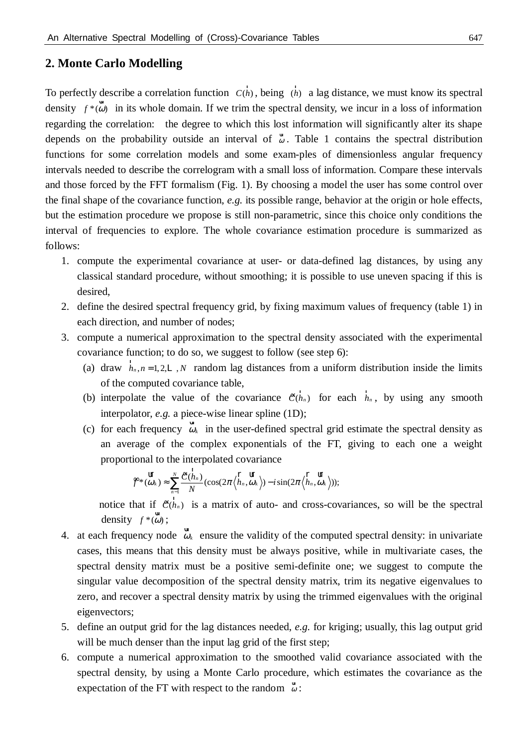### **2. Monte Carlo Modelling**

To perfectly describe a correlation function  $C(\ddot{h})$ , being  $\ddot{h}$  a lag distance, we must know its spectral density  $f^*(\omega)$  in its whole domain. If we trim the spectral density, we incur in a loss of information regarding the correlation: the degree to which this lost information will significantly alter its shape depends on the probability outside an interval of  $\ddot{\omega}$ . Table 1 contains the spectral distribution functions for some correlation models and some exam-ples of dimensionless angular frequency intervals needed to describe the correlogram with a small loss of information. Compare these intervals and those forced by the FFT formalism (Fig. 1). By choosing a model the user has some control over the final shape of the covariance function, *e.g.* its possible range, behavior at the origin or hole effects, but the estimation procedure we propose is still non-parametric, since this choice only conditions the interval of frequencies to explore. The whole covariance estimation procedure is summarized as follows:

- 1. compute the experimental covariance at user- or data-defined lag distances, by using any classical standard procedure, without smoothing; it is possible to use uneven spacing if this is desired,
- 2. define the desired spectral frequency grid, by fixing maximum values of frequency (table 1) in each direction, and number of nodes;
- 3. compute a numerical approximation to the spectral density associated with the experimental covariance function; to do so, we suggest to follow (see step 6):
	- (a) draw  $\ddot{n}_n$ ,  $n = 1, 2, 1$ , N random lag distances from a uniform distribution inside the limits of the computed covariance table,
	- (b) interpolate the value of the covariance  $\hat{\mathcal{E}}(\ddot{h}_n)$  for each  $\ddot{h}_n$ , by using any smooth interpolator, *e.g.* a piece-wise linear spline (1D);
	- (c) for each frequency  $\vec{\omega}_k$  in the user-defined spectral grid estimate the spectral density as an average of the complex exponentials of the FT, giving to each one a weight proportional to the interpolated covariance

$$
\hat{\mathbf{F}} * (\hat{\vec{\omega}}_k) \approx \sum_{n=1}^N \frac{\hat{\mathbf{E}}(\ddot{\vec{h}}_n)}{N} (\cos(2\pi \left\langle \ddot{\vec{h}}_n, \hat{\vec{\omega}}_k \right\rangle) - i \sin(2\pi \left\langle \ddot{\vec{h}}_n, \hat{\vec{\omega}}_k \right\rangle));
$$

notice that if  $\hat{\mathbf{E}}(\ddot{n}_n)$  is a matrix of auto- and cross-covariances, so will be the spectral density  $f^*(\ddot{\omega})$ ;

- 4. at each frequency node  $\ddot{\omega}_k$  ensure the validity of the computed spectral density: in univariate cases, this means that this density must be always positive, while in multivariate cases, the spectral density matrix must be a positive semi-definite one; we suggest to compute the singular value decomposition of the spectral density matrix, trim its negative eigenvalues to zero, and recover a spectral density matrix by using the trimmed eigenvalues with the original eigenvectors;
- 5. define an output grid for the lag distances needed, *e.g.* for kriging; usually, this lag output grid will be much denser than the input lag grid of the first step;
- 6. compute a numerical approximation to the smoothed valid covariance associated with the spectral density, by using a Monte Carlo procedure, which estimates the covariance as the expectation of the FT with respect to the random  $\bar{\omega}$ :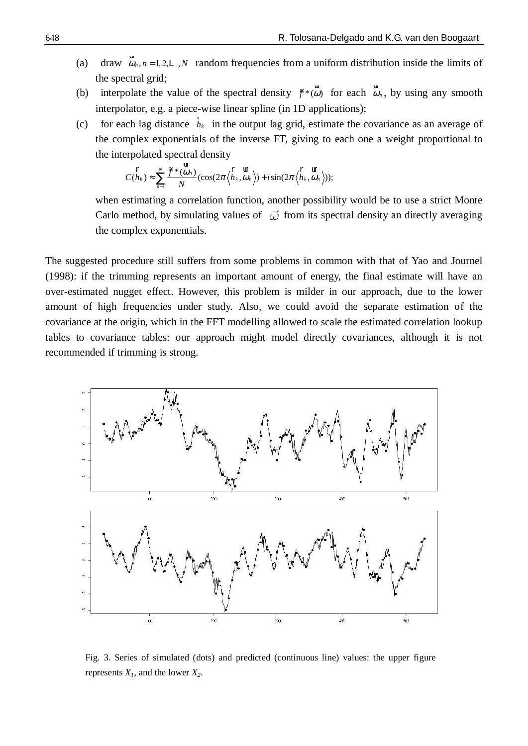- (a) draw  $\ddot{\omega}_n$ ,  $n = 1, 2,$  , *N* random frequencies from a uniform distribution inside the limits of the spectral grid;
- (b) interpolate the value of the spectral density  $\oint^*({\vec{\omega}})$  for each  ${\vec{\omega}}_n$ , by using any smooth interpolator, e.g. a piece-wise linear spline (in 1D applications);
- (c) for each lag distance  $\ddot{h}_k$  in the output lag grid, estimate the covariance as an average of the complex exponentials of the inverse FT, giving to each one a weight proportional to the interpolated spectral density

$$
C(\ddot{\tilde{h}}_k) \approx \sum_{n=1}^N \frac{\hat{\tilde{F}} * (\ddot{\tilde{\omega}}_n)}{N} (\cos(2\pi \left\langle \ddot{\tilde{h}}_k, \ddot{\tilde{\omega}}_n \right\rangle) + i \sin(2\pi \left\langle \ddot{\tilde{h}}_k, \ddot{\tilde{\omega}}_n \right\rangle));
$$

when estimating a correlation function, another possibility would be to use a strict Monte Carlo method, by simulating values of  $\vec{\omega}$  from its spectral density an directly averaging the complex exponentials.

The suggested procedure still suffers from some problems in common with that of Yao and Journel (1998): if the trimming represents an important amount of energy, the final estimate will have an over-estimated nugget effect. However, this problem is milder in our approach, due to the lower amount of high frequencies under study. Also, we could avoid the separate estimation of the covariance at the origin, which in the FFT modelling allowed to scale the estimated correlation lookup tables to covariance tables: our approach might model directly covariances, although it is not recommended if trimming is strong.



Fig. 3. Series of simulated (dots) and predicted (continuous line) values: the upper figure represents  $X<sub>1</sub>$ , and the lower  $X<sub>2</sub>$ .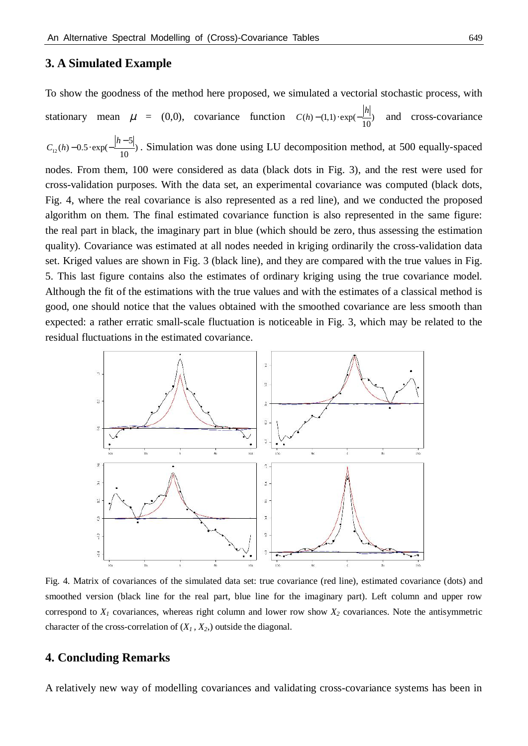# **3. A Simulated Example**

To show the goodness of the method here proposed, we simulated a vectorial stochastic process, with stationary mean  $\mu = (0,0)$ , covariance function  $C(h) - (1,1) \cdot \exp(-\frac{|H|}{10})$  $C(h) - (1,1) \cdot \exp(-\frac{|h|}{h})$  and cross-covariance 12 5  $(h) - 0.5 \cdot \exp(-\frac{1}{10})$ *h*  $C_{12}(h$  $-0.5 \cdot \exp(-\frac{|h-5|}{10})$ . Simulation was done using LU decomposition method, at 500 equally-spaced nodes. From them, 100 were considered as data (black dots in Fig. 3), and the rest were used for cross-validation purposes. With the data set, an experimental covariance was computed (black dots, Fig. 4, where the real covariance is also represented as a red line), and we conducted the proposed algorithm on them. The final estimated covariance function is also represented in the same figure: the real part in black, the imaginary part in blue (which should be zero, thus assessing the estimation quality). Covariance was estimated at all nodes needed in kriging ordinarily the cross-validation data set. Kriged values are shown in Fig. 3 (black line), and they are compared with the true values in Fig. 5. This last figure contains also the estimates of ordinary kriging using the true covariance model. Although the fit of the estimations with the true values and with the estimates of a classical method is good, one should notice that the values obtained with the smoothed covariance are less smooth than expected: a rather erratic small-scale fluctuation is noticeable in Fig. 3, which may be related to the residual fluctuations in the estimated covariance.



Fig. 4. Matrix of covariances of the simulated data set: true covariance (red line), estimated covariance (dots) and smoothed version (black line for the real part, blue line for the imaginary part). Left column and upper row correspond to  $X_I$  covariances, whereas right column and lower row show  $X_2$  covariances. Note the antisymmetric character of the cross-correlation of  $(X_1, X_2)$  outside the diagonal.

#### **4. Concluding Remarks**

A relatively new way of modelling covariances and validating cross-covariance systems has been in